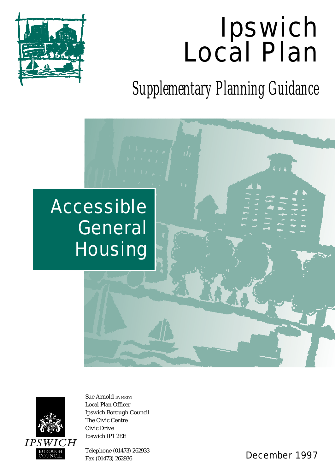# Ipswich Local Plan



*Supplementary Planning Guidance*

## Accessible **General Housing**



Sue Arnold BA MRTPI Local Plan Officer Ipswich Borough Council The Civic Centre Civic Drive Ipswich IP1 2EE

Telephone (01473) 262933

Fax (01473) 262933<br>Fax (01473) 262936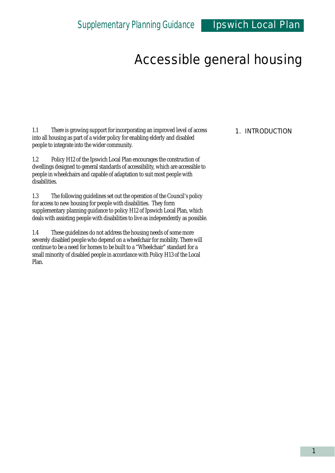1.1 There is growing support for incorporating an improved level of access into all housing as part of a wider policy for enabling elderly and disabled people to integrate into the wider community.

1.2 Policy H12 of the Ipswich Local Plan encourages the construction of dwellings designed to general standards of accessibility, which are accessible to people in wheelchairs and capable of adaptation to suit most people with disabilities.

1.3 The following guidelines set out the operation of the Council's policy for access to new housing for people with disabilities. They form supplementary planning guidance to policy H12 of Ipswich Local Plan, which deals with assisting people with disabilities to live as independently as possible.

1.4 These guidelines do not address the housing needs of some more severely disabled people who depend on a wheelchair for mobility. There will continue to be a need for homes to be built to a "Wheelchair" standard for a small minority of disabled people in accordance with Policy H13 of the Local Plan.

#### 1. INTRODUCTION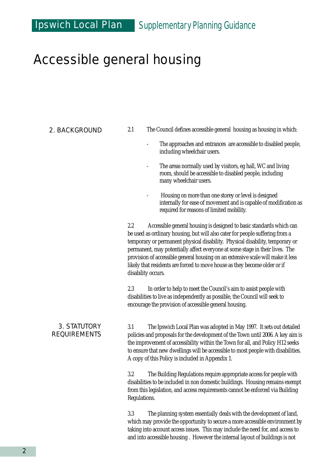#### 2. BACKGROUND

- 2.1 The Council defines accessible general housing as housing in which:
	- The approaches and entrances are accessible to disabled people, including wheelchair users.
	- The areas normally used by visitors, eg hall, WC and living room, should be accessible to disabled people, including many wheelchair users.
	- Housing on more than one storey or level is designed internally for ease of movement and is capable of modification as required for reasons of limited mobility.

2.2 Accessible general housing is designed to basic standards which can be used as ordinary housing, but will also cater for people suffering from a temporary or permanent physical disability. Physical disability, temporary or permanent, may potentially affect everyone at some stage in their lives. The provision of accessible general housing on an extensive scale will make it less likely that residents are forced to move house as they become older or if disability occurs.

2.3 In order to help to meet the Council's aim to assist people with disabilities to live as independently as possible, the Council will seek to encourage the provision of accessible general housing.

#### 3. STATUTORY REQUIREMENTS

3.1 The Ipswich Local Plan was adopted in May 1997. It sets out detailed policies and proposals for the development of the Town until 2006. A key aim is the improvement of accessibility within the Town for all, and Policy H12 seeks to ensure that new dwellings will be accessible to most people with disabilities. A copy of this Policy is included in Appendix 1.

3.2 The Building Regulations require appropriate access for people with disabilities to be included in non domestic buildings. Housing remains exempt from this legislation, and access requirements cannot be enforced via Building Regulations.

3.3 The planning system essentially deals with the development of land, which may provide the opportunity to secure a more accessible environment by taking into account access issues. This may include the need for, and access to and into accessible housing . However the internal layout of buildings is not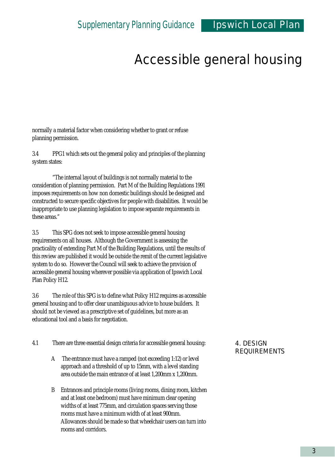normally a material factor when considering whether to grant or refuse planning permission.

3.4 PPG1 which sets out the general policy and principles of the planning system states:

"The internal layout of buildings is not normally material to the consideration of planning permission. Part M of the Building Regulations 1991 imposes requirements on how non domestic buildings should be designed and constructed to secure specific objectives for people with disabilities. It would be inappropriate to use planning legislation to impose separate requirements in these areas."

3.5 This SPG does not seek to impose accessible general housing requirements on all houses. Although the Government is assessing the practicality of extending Part M of the Building Regulations, until the results of this review are published it would be outside the remit of the current legislative system to do so. However the Council will seek to achieve the provision of accessible general housing wherever possible via application of Ipswich Local Plan Policy H12.

3.6 The role of this SPG is to define what Policy H12 requires as accessible general housing and to offer clear unambiguous advice to house builders. It should not be viewed as a prescriptive set of guidelines, but more as an educational tool and a basis for negotiation.

- 4.1 There are three essential design criteria for accessible general housing:
	- A The entrance must have a ramped (not exceeding 1:12) or level approach and a threshold of up to 15mm, with a level standing area outside the main entrance of at least 1,200mm x 1,200mm.
	- B Entrances and principle rooms (living rooms, dining room, kitchen and at least one bedroom) must have minimum clear opening widths of at least 775mm, and circulation spaces serving those rooms must have a minimum width of at least 900mm. Allowances should be made so that wheelchair users can turn into rooms and corridors.

#### 4. DESIGN REQUIREMENTS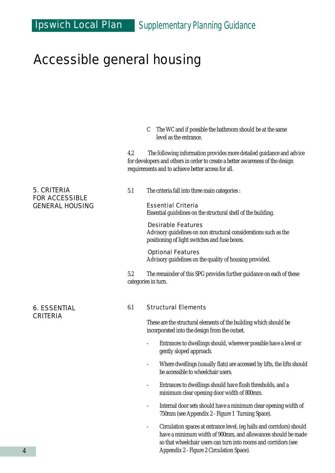C The WC and if possible the bathroom should be at the same level as the entrance.

4.2 The following information provides more detailed guidance and advice for developers and others in order to create a better awareness of the design requirements and to achieve better access for all.

#### 5.1 The criteria fall into three main categories :

Essential Criteria Essential guidelines on the structural shell of the building.

Desirable Features Advisory guidelines on non structural considerations such as the positioning of light switches and fuse boxes.

Optional Features Advisory guidelines on the quality of housing provided.

5.2 The remainder of this SPG provides further guidance on each of these categories in turn.

#### 6.1 Structural Elements

These are the structural elements of the building which should be incorporated into the design from the outset.

- Entrances to dwellings should, wherever possible have a level or gently sloped approach.
- Where dwellings (usually flats) are accessed by lifts, the lifts should be accessible to wheelchair users.
- Entrances to dwellings should have flush thresholds, and a minimum clear opening door width of 800mm.
- Internal door sets should have a minimum clear opening width of 750mm (see Appendix 2 - Figure 1 Turning Space).
- Circulation spaces at entrance level, (eg halls and corridors) should have a minimum width of 900mm, and allowances should be made so that wheelchair users can turn into rooms and corridors (see Appendix 2 - Figure 2 Circulation Space).

#### 5. CRITERIA FOR ACCESSIBLE GENERAL HOUSING

6. ESSENTIAL CRITERIA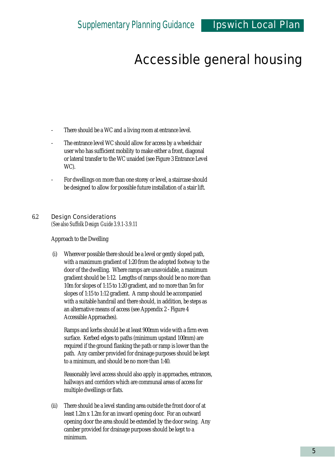- There should be a WC and a living room at entrance level.
- The entrance level WC should allow for access by a wheelchair user who has sufficient mobility to make either a front, diagonal or lateral transfer to the WC unaided (see Figure 3 Entrance Level WC).
- For dwellings on more than one storey or level, a staircase should be designed to allow for possible future installation of a stair lift.

#### 6.2 Design Considerations

*(See also Suffolk Design Guide 3.9.1-3.9.11*

Approach to the Dwelling

(i) Wherever possible there should be a level or gently sloped path, with a maximum gradient of 1:20 from the adopted footway to the door of the dwelling. Where ramps are unavoidable, a maximum gradient should be 1:12. Lengths of ramps should be no more than 10m for slopes of 1:15 to 1:20 gradient, and no more than 5m for slopes of 1:15 to 1:12 gradient. A ramp should be accompanied with a suitable handrail and there should, in addition, be steps as an alternative means of access (see Appendix 2 - Figure 4 Accessible Approaches).

Ramps and kerbs should be at least 900mm wide with a firm even surface. Kerbed edges to paths (minimum upstand 100mm) are required if the ground flanking the path or ramp is lower than the path. Any camber provided for drainage purposes should be kept to a minimum, and should be no more than 1:40.

Reasonably level access should also apply in approaches, entrances, hallways and corridors which are communal areas of access for multiple dwellings or flats.

(ii) There should be a level standing area outside the front door of at least 1.2m x 1.2m for an inward opening door. For an outward opening door the area should be extended by the door swing. Any camber provided for drainage purposes should be kept to a minimum.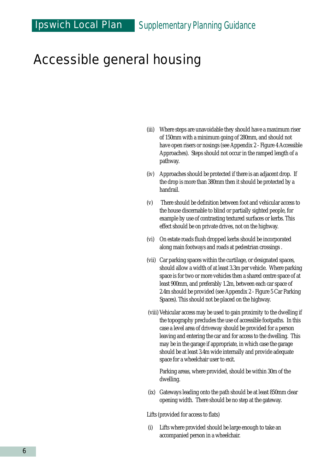- (iii) Where steps are unavoidable they should have a maximum riser of 150mm with a minimum going of 280mm, and should not have open risers or nosings (see Appendix 2 - Figure 4 Accessible Approaches). Steps should not occur in the ramped length of a pathway.
- (iv) Approaches should be protected if there is an adjacent drop. If the drop is more than 380mm then it should be protected by a handrail.
- (v) There should be definition between foot and vehicular access to the house discernable to blind or partially sighted people, for example by use of contrasting textured surfaces or kerbs. This effect should be on private drives, not on the highway.
- (vi) On estate roads flush dropped kerbs should be incorporated along main footways and roads at pedestrian crossings .
- (vii) Car parking spaces within the curtilage, or designated spaces, should allow a width of at least 3.3m per vehicle. Where parking space is for two or more vehicles then a shared centre space of at least 900mm, and preferably 1.2m, between each car space of 2.4m should be provided (see Appendix 2 - Figure 5 Car Parking Spaces). This should not be placed on the highway.
- (viii) Vehicular access may be used to gain proximity to the dwelling if the topography precludes the use of accessible footpaths. In this case a level area of driveway should be provided for a person leaving and entering the car and for access to the dwelling. This may be in the garage if appropriate, in which case the garage should be at least 3.4m wide internally and provide adequate space for a wheelchair user to exit.

Parking areas, where provided, should be within 30m of the dwelling.

(ix) Gateways leading onto the path should be at least 850mm clear opening width. There should be no step at the gateway.

Lifts (provided for access to flats)

(i) Lifts where provided should be large enough to take an accompanied person in a wheelchair.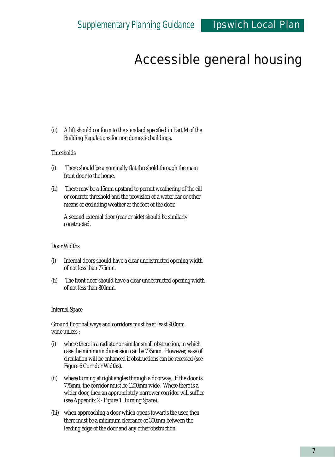(ii) A lift should conform to the standard specified in Part M of the Building Regulations for non domestic buildings.

#### **Thresholds**

- (i) There should be a nominally flat threshold through the main front door to the home.
- (ii) There may be a 15mm upstand to permit weathering of the cill or concrete threshold and the provision of a water bar or other means of excluding weather at the foot of the door.

A second external door (rear or side) should be similarly constructed.

#### Door Widths

- (i) Internal doors should have a clear unobstructed opening width of not less than 775mm.
- (ii) The front door should have a clear unobstructed opening width of not less than 800mm.

#### Internal Space

Ground floor hallways and corridors must be at least 900mm wide unless :

- (i) where there is a radiator or similar small obstruction, in which case the minimum dimension can be 775mm. However, ease of circulation will be enhanced if obstructions can be recessed (see Figure 6 Corridor Widths).
- (ii) where turning at right angles through a doorway. If the door is 775mm, the corridor must be 1200mm wide. Where there is a wider door, then an appropriately narrower corridor will suffice (see Appendix 2 - Figure 1 Turning Space).
- (iii) when approaching a door which opens towards the user, then there must be a minimum clearance of 300mm between the leading edge of the door and any other obstruction.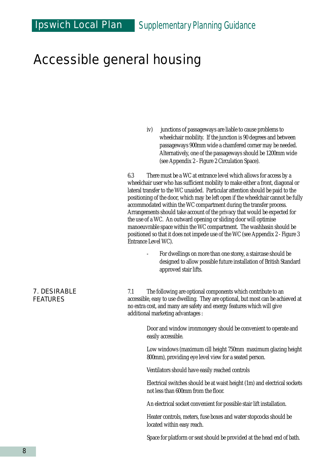iv) junctions of passageways are liable to cause problems to wheelchair mobility. If the junction is 90 degrees and between passageways 900mm wide a chamfered corner may be needed. Alternatively, one of the passageways should be 1200mm wide (see Appendix 2 - Figure 2 Circulation Space).

6.3 There must be a WC at entrance level which allows for access by a wheelchair user who has sufficient mobility to make either a front, diagonal or lateral transfer to the WC unaided. Particular attention should be paid to the positioning of the door, which may be left open if the wheelchair cannot be fully accommodated within the WC compartment during the transfer process. Arrangements should take account of the privacy that would be expected for the use of a WC. An outward opening or sliding door will optimise manoeuvrable space within the WC compartment. The washbasin should be positioned so that it does not impede use of the WC (see Appendix 2 - Figure 3 Entrance Level WC).

> For dwellings on more than one storey, a staircase should be designed to allow possible future installation of British Standard approved stair lifts.

7.1 The following are optional components which contribute to an accessible, easy to use dwelling. They are optional, but most can be achieved at no extra cost, and many are safety and energy features which will give additional marketing advantages :

> Door and window ironmongery should be convenient to operate and easily accessible.

Low windows (maximum cill height 750mm maximum glazing height 800mm), providing eye level view for a seated person.

Ventilators should have easily reached controls

Electrical switches should be at waist height (1m) and electrical sockets not less than 600mm from the floor.

An electrical socket convenient for possible stair lift installation.

Heater controls, meters, fuse boxes and water stopcocks should be located within easy reach.

Space for platform or seat should be provided at the head end of bath.

#### 7. DESIRABLE FEATURES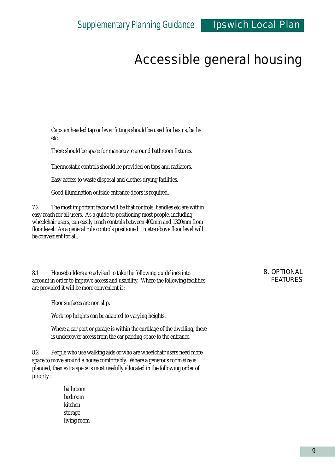Capstan headed tap or lever fittings should be used for basins, baths etc.

There should be space for manoeuvre around bathroom fixtures.

Thermostatic controls should be provided on taps and radiators.

Easy access to waste disposal and clothes drying facilities.

Good illumination outside entrance doors is required.

7.2 The most important factor will be that controls, handles etc are within easy reach for all users. As a guide to positioning most people, including wheelchair users, can easily reach controls between 400mm and 1300mm from floor level. As a general rule controls positioned 1 metre above floor level will be convenient for all.

8.1 Housebuilders are advised to take the following guidelines into account in order to improve access and usability. Where the following facilities are provided it will be more convenient if :

Floor surfaces are non slip.

Work top heights can be adapted to varying heights.

Where a car port or garage is within the curtilage of the dwelling, there is undercover access from the car parking space to the entrance.

8.2 People who use walking aids or who are wheelchair users need more space to move around a house comfortably. Where a generous room size is planned, then extra space is most usefully allocated in the following order of priority :

> bathroom bedroom kitchen storage living room

#### 8. OPTIONAL FEATURES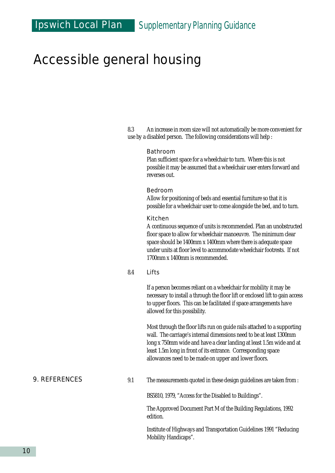8.3 An increase in room size will not automatically be more convenient for use by a disabled person. The following considerations will help :

#### Bathroom

Plan sufficient space for a wheelchair to turn. Where this is not possible it may be assumed that a wheelchair user enters forward and reverses out.

#### Bedroom

Allow for positioning of beds and essential furniture so that it is possible for a wheelchair user to come alongside the bed, and to turn.

#### Kitchen

A continuous sequence of units is recommended. Plan an unobstructed floor space to allow for wheelchair manoeuvre. The minimum clear space should be 1400mm x 1400mm where there is adequate space under units at floor level to accommodate wheelchair footrests. If not 1700mm x 1400mm is recommended.

#### 8.4 Lifts

If a person becomes reliant on a wheelchair for mobility it may be necessary to install a through the floor lift or enclosed lift to gain access to upper floors. This can be facilitated if space arrangements have allowed for this possibility.

Most through the floor lifts run on guide rails attached to a supporting wall. The carriage's internal dimensions need to be at least 1300mm long x 750mm wide and have a clear landing at least 1.5m wide and at least 1.5m long in front of its entrance. Corresponding space allowances need to be made on upper and lower floors.

9. REFERENCES

9.1 The measurements quoted in these design guidelines are taken from :

BS5810, 1979, "Access for the Disabled to Buildings".

The Approved Document Part M of the Building Regulations, 1992 edition.

Institute of Highways and Transportation Guidelines 1991 "Reducing Mobility Handicaps".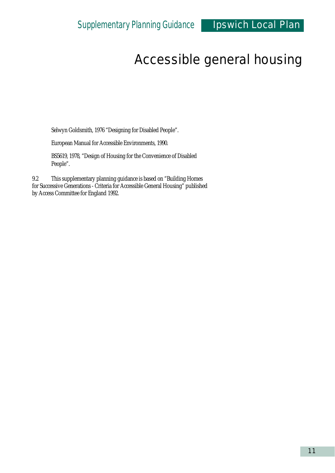Selwyn Goldsmith, 1976 "Designing for Disabled People".

European Manual for Accessible Environments, 1990.

BS5619, 1978, "Design of Housing for the Convenience of Disabled People".

9.2 This supplementary planning guidance is based on "Building Homes for Successive Generations - Criteria for Accessible General Housing" published by Access Committee for England 1992.